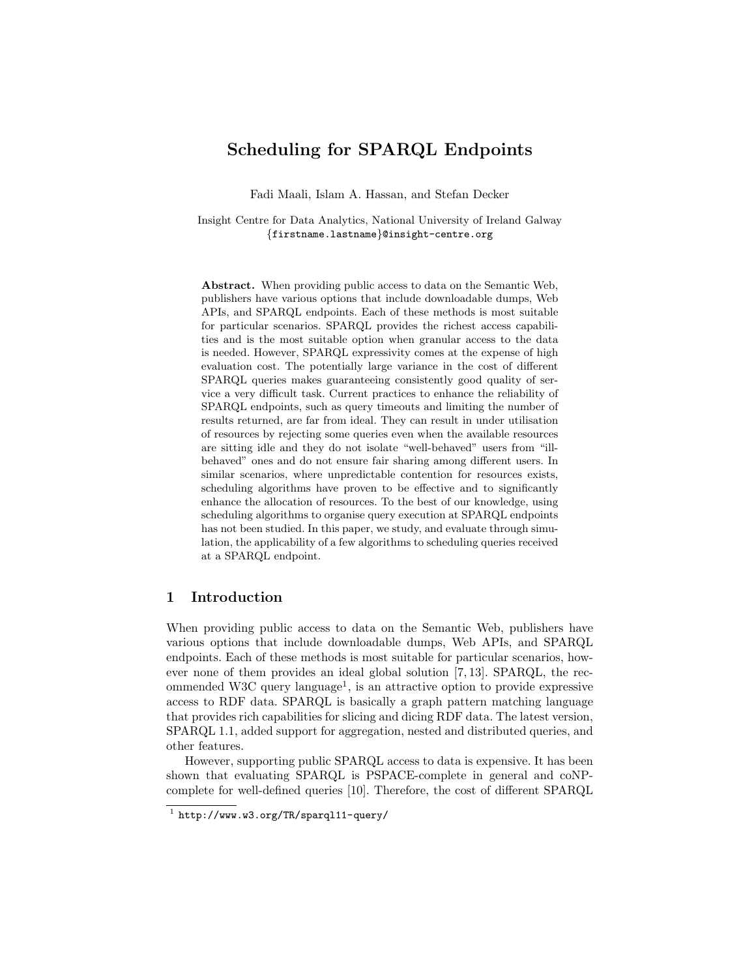# Scheduling for SPARQL Endpoints

Fadi Maali, Islam A. Hassan, and Stefan Decker

Insight Centre for Data Analytics, National University of Ireland Galway {firstname.lastname}@insight-centre.org

Abstract. When providing public access to data on the Semantic Web, publishers have various options that include downloadable dumps, Web APIs, and SPARQL endpoints. Each of these methods is most suitable for particular scenarios. SPARQL provides the richest access capabilities and is the most suitable option when granular access to the data is needed. However, SPARQL expressivity comes at the expense of high evaluation cost. The potentially large variance in the cost of different SPARQL queries makes guaranteeing consistently good quality of service a very difficult task. Current practices to enhance the reliability of SPARQL endpoints, such as query timeouts and limiting the number of results returned, are far from ideal. They can result in under utilisation of resources by rejecting some queries even when the available resources are sitting idle and they do not isolate "well-behaved" users from "illbehaved" ones and do not ensure fair sharing among different users. In similar scenarios, where unpredictable contention for resources exists, scheduling algorithms have proven to be effective and to significantly enhance the allocation of resources. To the best of our knowledge, using scheduling algorithms to organise query execution at SPARQL endpoints has not been studied. In this paper, we study, and evaluate through simulation, the applicability of a few algorithms to scheduling queries received at a SPARQL endpoint.

## 1 Introduction

When providing public access to data on the Semantic Web, publishers have various options that include downloadable dumps, Web APIs, and SPARQL endpoints. Each of these methods is most suitable for particular scenarios, however none of them provides an ideal global solution [7, 13]. SPARQL, the recommended W3C query language<sup>1</sup>, is an attractive option to provide expressive access to RDF data. SPARQL is basically a graph pattern matching language that provides rich capabilities for slicing and dicing RDF data. The latest version, SPARQL 1.1, added support for aggregation, nested and distributed queries, and other features.

However, supporting public SPARQL access to data is expensive. It has been shown that evaluating SPARQL is PSPACE-complete in general and coNPcomplete for well-defined queries [10]. Therefore, the cost of different SPARQL

 $1$  http://www.w3.org/TR/sparql11-query/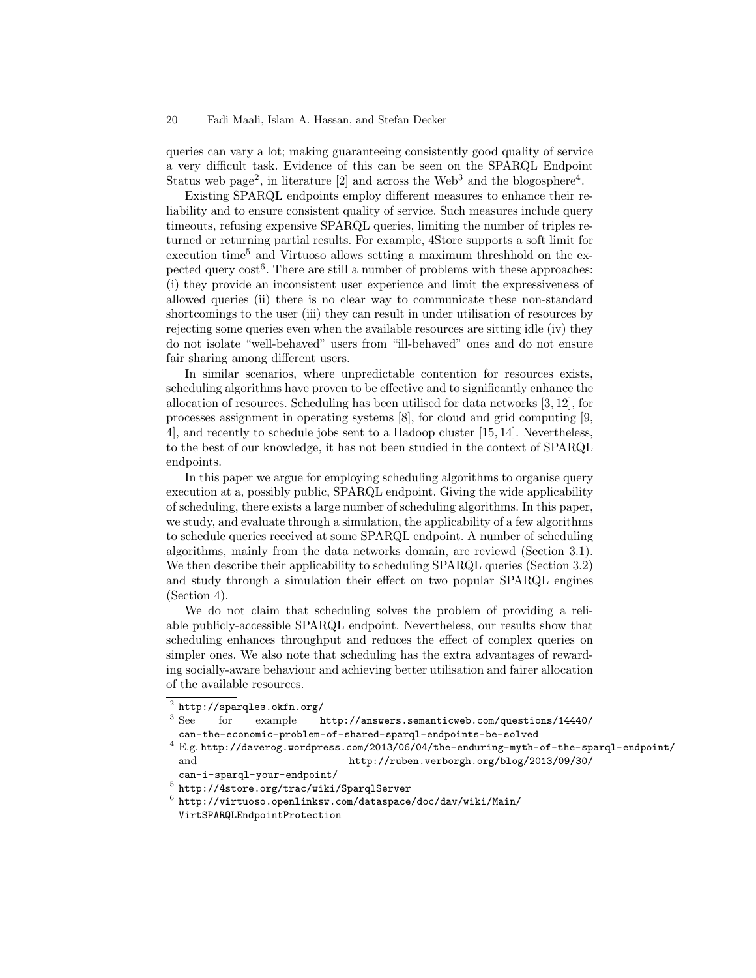#### 20 Fadi Maali, Islam A. Hassan, and Stefan Decker

queries can vary a lot; making guaranteeing consistently good quality of service a very difficult task. Evidence of this can be seen on the SPARQL Endpoint Status web page<sup>2</sup>, in literature [2] and across the Web<sup>3</sup> and the blogosphere<sup>4</sup>.

Existing SPARQL endpoints employ different measures to enhance their reliability and to ensure consistent quality of service. Such measures include query timeouts, refusing expensive SPARQL queries, limiting the number of triples returned or returning partial results. For example, 4Store supports a soft limit for execution time<sup>5</sup> and Virtuoso allows setting a maximum threshhold on the expected query cost<sup>6</sup>. There are still a number of problems with these approaches: (i) they provide an inconsistent user experience and limit the expressiveness of allowed queries (ii) there is no clear way to communicate these non-standard shortcomings to the user (iii) they can result in under utilisation of resources by rejecting some queries even when the available resources are sitting idle (iv) they do not isolate "well-behaved" users from "ill-behaved" ones and do not ensure fair sharing among different users.

In similar scenarios, where unpredictable contention for resources exists, scheduling algorithms have proven to be effective and to significantly enhance the allocation of resources. Scheduling has been utilised for data networks [3, 12], for processes assignment in operating systems [8], for cloud and grid computing [9, 4], and recently to schedule jobs sent to a Hadoop cluster [15, 14]. Nevertheless, to the best of our knowledge, it has not been studied in the context of SPARQL endpoints.

In this paper we argue for employing scheduling algorithms to organise query execution at a, possibly public, SPARQL endpoint. Giving the wide applicability of scheduling, there exists a large number of scheduling algorithms. In this paper, we study, and evaluate through a simulation, the applicability of a few algorithms to schedule queries received at some SPARQL endpoint. A number of scheduling algorithms, mainly from the data networks domain, are reviewd (Section 3.1). We then describe their applicability to scheduling SPARQL queries (Section 3.2) and study through a simulation their effect on two popular SPARQL engines (Section 4).

We do not claim that scheduling solves the problem of providing a reliable publicly-accessible SPARQL endpoint. Nevertheless, our results show that scheduling enhances throughput and reduces the effect of complex queries on simpler ones. We also note that scheduling has the extra advantages of rewarding socially-aware behaviour and achieving better utilisation and fairer allocation of the available resources.

 $^4$  E.g. http://daverog.wordpress.com/2013/06/04/the-enduring-myth-of-the-sparql-endpoint/  $\,$ and http://ruben.verborgh.org/blog/2013/09/30/ can-i-sparql-your-endpoint/

 $^2$  http://sparqles.okfn.org/

<sup>3</sup> See for example http://answers.semanticweb.com/questions/14440/ can-the-economic-problem-of-shared-sparql-endpoints-be-solved

<sup>5</sup> http://4store.org/trac/wiki/SparqlServer

 $^6$ http://virtuoso.openlinksw.com/dataspace/doc/dav/wiki/Main/ VirtSPARQLEndpointProtection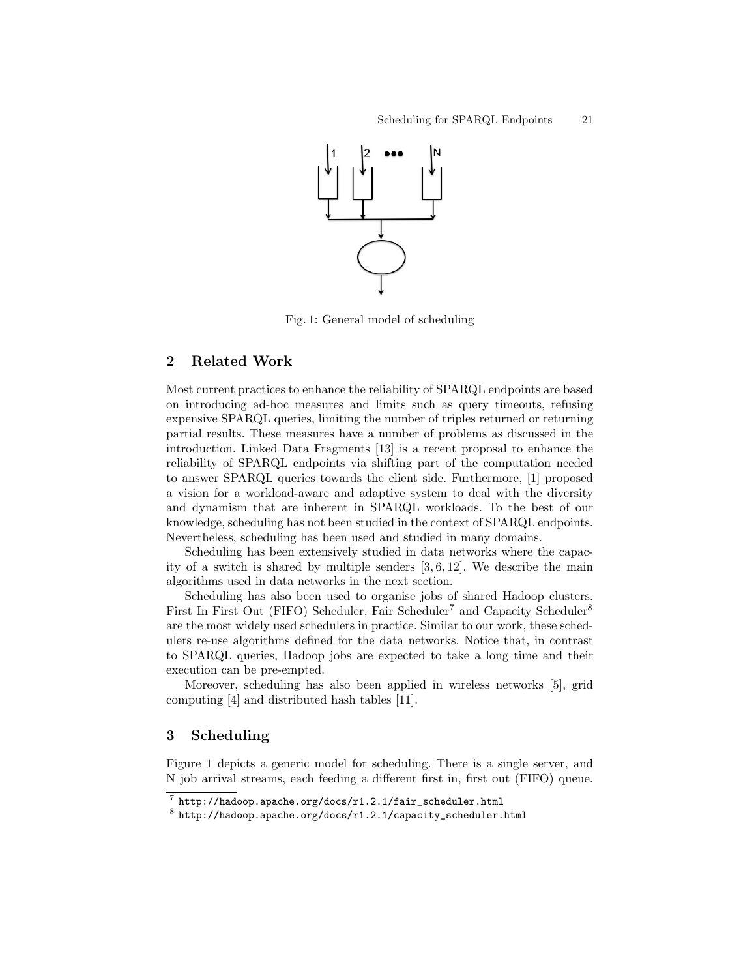

Fig. 1: General model of scheduling

## 2 Related Work

Most current practices to enhance the reliability of SPARQL endpoints are based on introducing ad-hoc measures and limits such as query timeouts, refusing expensive SPARQL queries, limiting the number of triples returned or returning partial results. These measures have a number of problems as discussed in the introduction. Linked Data Fragments [13] is a recent proposal to enhance the reliability of SPARQL endpoints via shifting part of the computation needed to answer SPARQL queries towards the client side. Furthermore, [1] proposed a vision for a workload-aware and adaptive system to deal with the diversity and dynamism that are inherent in SPARQL workloads. To the best of our knowledge, scheduling has not been studied in the context of SPARQL endpoints. Nevertheless, scheduling has been used and studied in many domains.

Scheduling has been extensively studied in data networks where the capacity of a switch is shared by multiple senders  $[3, 6, 12]$ . We describe the main algorithms used in data networks in the next section.

Scheduling has also been used to organise jobs of shared Hadoop clusters. First In First Out (FIFO) Scheduler, Fair Scheduler<sup>7</sup> and Capacity Scheduler<sup>8</sup> are the most widely used schedulers in practice. Similar to our work, these schedulers re-use algorithms defined for the data networks. Notice that, in contrast to SPARQL queries, Hadoop jobs are expected to take a long time and their execution can be pre-empted.

Moreover, scheduling has also been applied in wireless networks [5], grid computing [4] and distributed hash tables [11].

## 3 Scheduling

Figure 1 depicts a generic model for scheduling. There is a single server, and N job arrival streams, each feeding a different first in, first out (FIFO) queue.

 $^7$  http://hadoop.apache.org/docs/r1.2.1/fair\_scheduler.html

 $^8$ http://hadoop.apache.org/docs/r1.2.1/capacity\_scheduler.html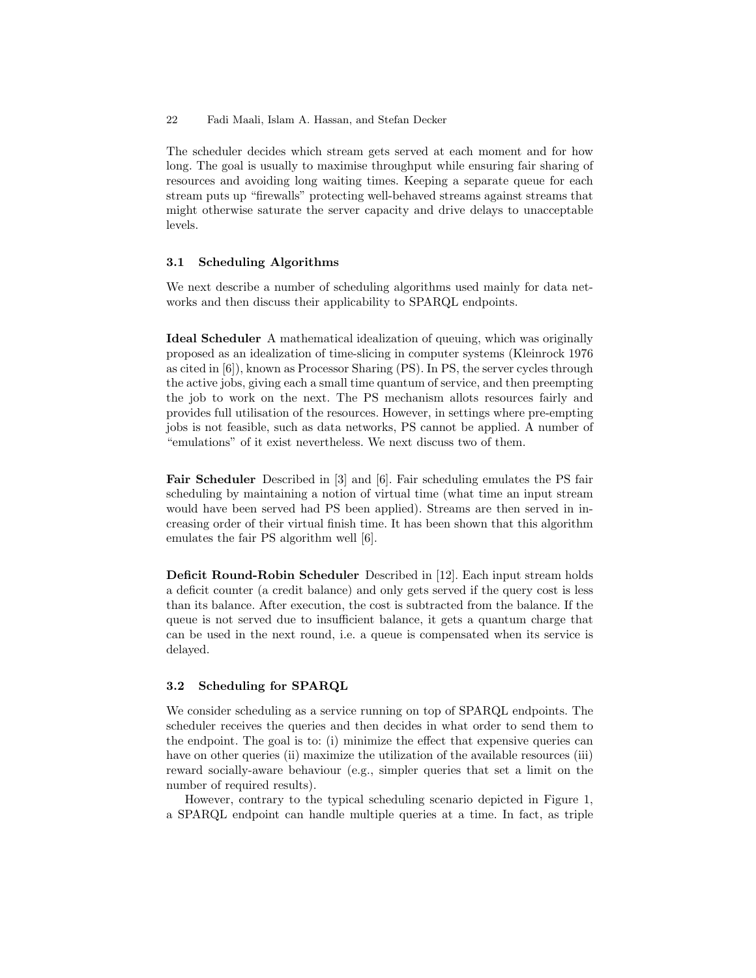22 Fadi Maali, Islam A. Hassan, and Stefan Decker

The scheduler decides which stream gets served at each moment and for how long. The goal is usually to maximise throughput while ensuring fair sharing of resources and avoiding long waiting times. Keeping a separate queue for each stream puts up "firewalls" protecting well-behaved streams against streams that might otherwise saturate the server capacity and drive delays to unacceptable levels.

### 3.1 Scheduling Algorithms

We next describe a number of scheduling algorithms used mainly for data networks and then discuss their applicability to SPARQL endpoints.

Ideal Scheduler A mathematical idealization of queuing, which was originally proposed as an idealization of time-slicing in computer systems (Kleinrock 1976 as cited in [6]), known as Processor Sharing (PS). In PS, the server cycles through the active jobs, giving each a small time quantum of service, and then preempting the job to work on the next. The PS mechanism allots resources fairly and provides full utilisation of the resources. However, in settings where pre-empting jobs is not feasible, such as data networks, PS cannot be applied. A number of "emulations" of it exist nevertheless. We next discuss two of them.

Fair Scheduler Described in [3] and [6]. Fair scheduling emulates the PS fair scheduling by maintaining a notion of virtual time (what time an input stream would have been served had PS been applied). Streams are then served in increasing order of their virtual finish time. It has been shown that this algorithm emulates the fair PS algorithm well [6].

Deficit Round-Robin Scheduler Described in [12]. Each input stream holds a deficit counter (a credit balance) and only gets served if the query cost is less than its balance. After execution, the cost is subtracted from the balance. If the queue is not served due to insufficient balance, it gets a quantum charge that can be used in the next round, i.e. a queue is compensated when its service is delayed.

## 3.2 Scheduling for SPARQL

We consider scheduling as a service running on top of SPARQL endpoints. The scheduler receives the queries and then decides in what order to send them to the endpoint. The goal is to: (i) minimize the effect that expensive queries can have on other queries (ii) maximize the utilization of the available resources (iii) reward socially-aware behaviour (e.g., simpler queries that set a limit on the number of required results).

However, contrary to the typical scheduling scenario depicted in Figure 1, a SPARQL endpoint can handle multiple queries at a time. In fact, as triple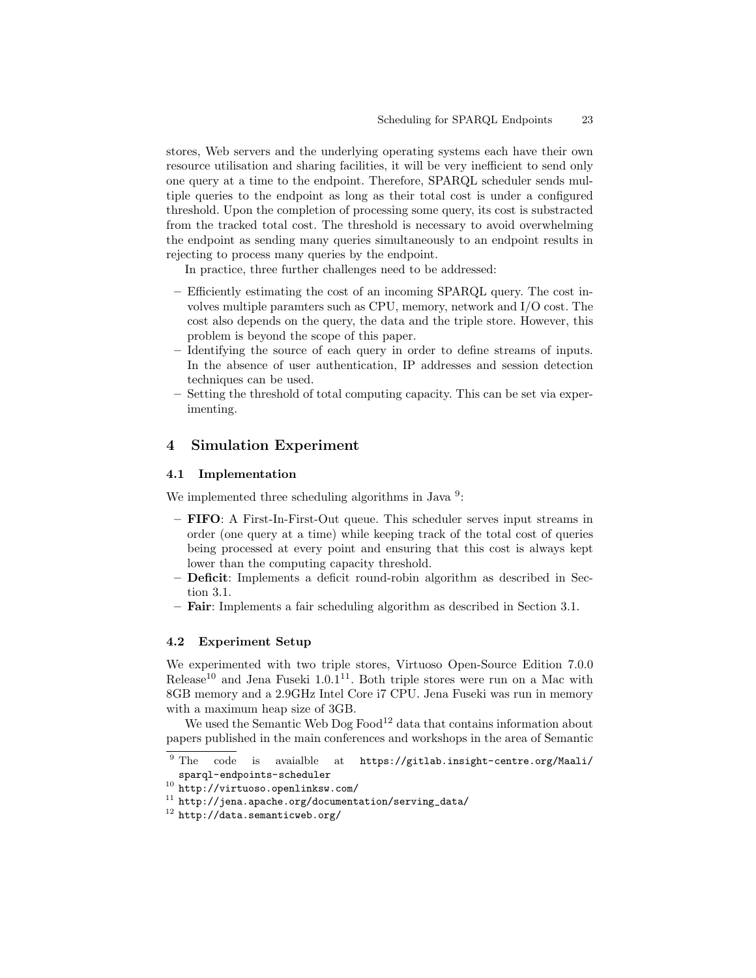stores, Web servers and the underlying operating systems each have their own resource utilisation and sharing facilities, it will be very inefficient to send only one query at a time to the endpoint. Therefore, SPARQL scheduler sends multiple queries to the endpoint as long as their total cost is under a configured threshold. Upon the completion of processing some query, its cost is substracted from the tracked total cost. The threshold is necessary to avoid overwhelming the endpoint as sending many queries simultaneously to an endpoint results in rejecting to process many queries by the endpoint.

In practice, three further challenges need to be addressed:

- Efficiently estimating the cost of an incoming SPARQL query. The cost involves multiple paramters such as CPU, memory, network and I/O cost. The cost also depends on the query, the data and the triple store. However, this problem is beyond the scope of this paper.
- Identifying the source of each query in order to define streams of inputs. In the absence of user authentication, IP addresses and session detection techniques can be used.
- Setting the threshold of total computing capacity. This can be set via experimenting.

## 4 Simulation Experiment

#### 4.1 Implementation

We implemented three scheduling algorithms in Java<sup>9</sup>:

- FIFO: A First-In-First-Out queue. This scheduler serves input streams in order (one query at a time) while keeping track of the total cost of queries being processed at every point and ensuring that this cost is always kept lower than the computing capacity threshold.
- Deficit: Implements a deficit round-robin algorithm as described in Section 3.1.
- Fair: Implements a fair scheduling algorithm as described in Section 3.1.

#### 4.2 Experiment Setup

We experimented with two triple stores, Virtuoso Open-Source Edition 7.0.0 Release<sup>10</sup> and Jena Fuseki  $1.0.1<sup>11</sup>$ . Both triple stores were run on a Mac with 8GB memory and a 2.9GHz Intel Core i7 CPU. Jena Fuseki was run in memory with a maximum heap size of 3GB.

We used the Semantic Web  $\text{Dog } \text{Food}^{12}$  data that contains information about papers published in the main conferences and workshops in the area of Semantic

 $\overline{9}$  The code is avaialble at https://gitlab.insight-centre.org/Maali/ sparql-endpoints-scheduler

 $10$  http://virtuoso.openlinksw.com/

 $11$  http://jena.apache.org/documentation/serving\_data/

<sup>12</sup> http://data.semanticweb.org/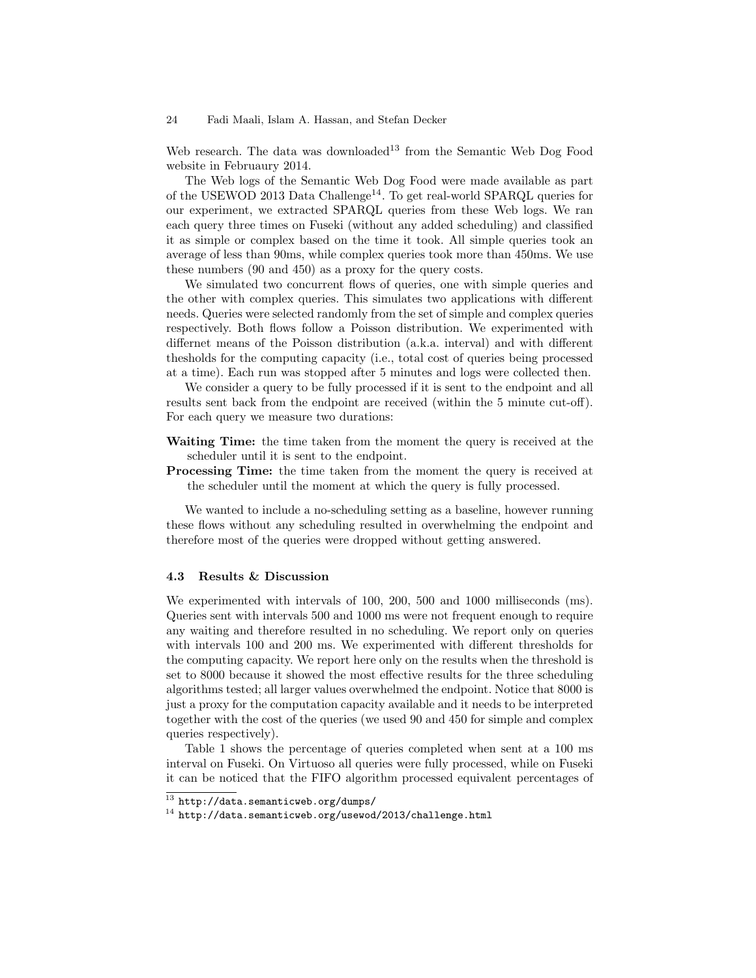#### 24 Fadi Maali, Islam A. Hassan, and Stefan Decker

Web research. The data was downloaded<sup>13</sup> from the Semantic Web Dog Food website in Februaury 2014.

The Web logs of the Semantic Web Dog Food were made available as part of the USEWOD 2013 Data Challenge<sup>14</sup>. To get real-world SPARQL queries for our experiment, we extracted SPARQL queries from these Web logs. We ran each query three times on Fuseki (without any added scheduling) and classified it as simple or complex based on the time it took. All simple queries took an average of less than 90ms, while complex queries took more than 450ms. We use these numbers (90 and 450) as a proxy for the query costs.

We simulated two concurrent flows of queries, one with simple queries and the other with complex queries. This simulates two applications with different needs. Queries were selected randomly from the set of simple and complex queries respectively. Both flows follow a Poisson distribution. We experimented with differnet means of the Poisson distribution (a.k.a. interval) and with different thesholds for the computing capacity (i.e., total cost of queries being processed at a time). Each run was stopped after 5 minutes and logs were collected then.

We consider a query to be fully processed if it is sent to the endpoint and all results sent back from the endpoint are received (within the 5 minute cut-off). For each query we measure two durations:

- Waiting Time: the time taken from the moment the query is received at the scheduler until it is sent to the endpoint.
- Processing Time: the time taken from the moment the query is received at the scheduler until the moment at which the query is fully processed.

We wanted to include a no-scheduling setting as a baseline, however running these flows without any scheduling resulted in overwhelming the endpoint and therefore most of the queries were dropped without getting answered.

#### 4.3 Results & Discussion

We experimented with intervals of 100, 200, 500 and 1000 milliseconds (ms). Queries sent with intervals 500 and 1000 ms were not frequent enough to require any waiting and therefore resulted in no scheduling. We report only on queries with intervals 100 and 200 ms. We experimented with different thresholds for the computing capacity. We report here only on the results when the threshold is set to 8000 because it showed the most effective results for the three scheduling algorithms tested; all larger values overwhelmed the endpoint. Notice that 8000 is just a proxy for the computation capacity available and it needs to be interpreted together with the cost of the queries (we used 90 and 450 for simple and complex queries respectively).

Table 1 shows the percentage of queries completed when sent at a 100 ms interval on Fuseki. On Virtuoso all queries were fully processed, while on Fuseki it can be noticed that the FIFO algorithm processed equivalent percentages of

 $^{13}$  http://data.semanticweb.org/dumps/

<sup>14</sup> http://data.semanticweb.org/usewod/2013/challenge.html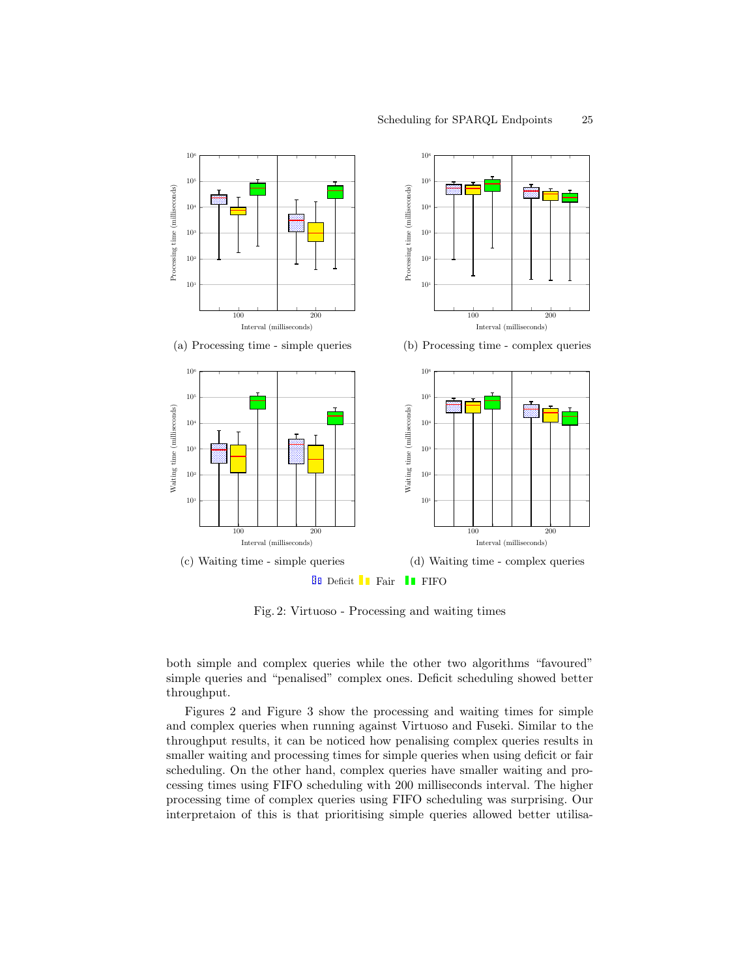

Fig. 2: Virtuoso - Processing and waiting times

 $\begin{bmatrix} 0 \\ 0 \\ 0 \\ 0 \\ 0 \end{bmatrix}$ tu<br>q<br>ise both simple and complex queries while the other two algorithms "favoured" re<br>wl<br>he simple queries and "penalised" complex ones. Deficit scheduling showed better throughput.

throughput results, it can be noticed how penalising complex queries results in and complex queries when running against Virtuoso and Fuseki. Similar to the smaller waiting and processing times for simple queries when using deficit or fair scheduling. On the other hand, complex queries have smaller waiting and pro-Figures 2 and Figure 3 show the processing and waiting times for simple cessing times using FIFO scheduling with 200 milliseconds interval. The higher processing time of complex queries using FIFO scheduling was surprising. Our interpretaion of this is that prioritising simple queries allowed better utilisa-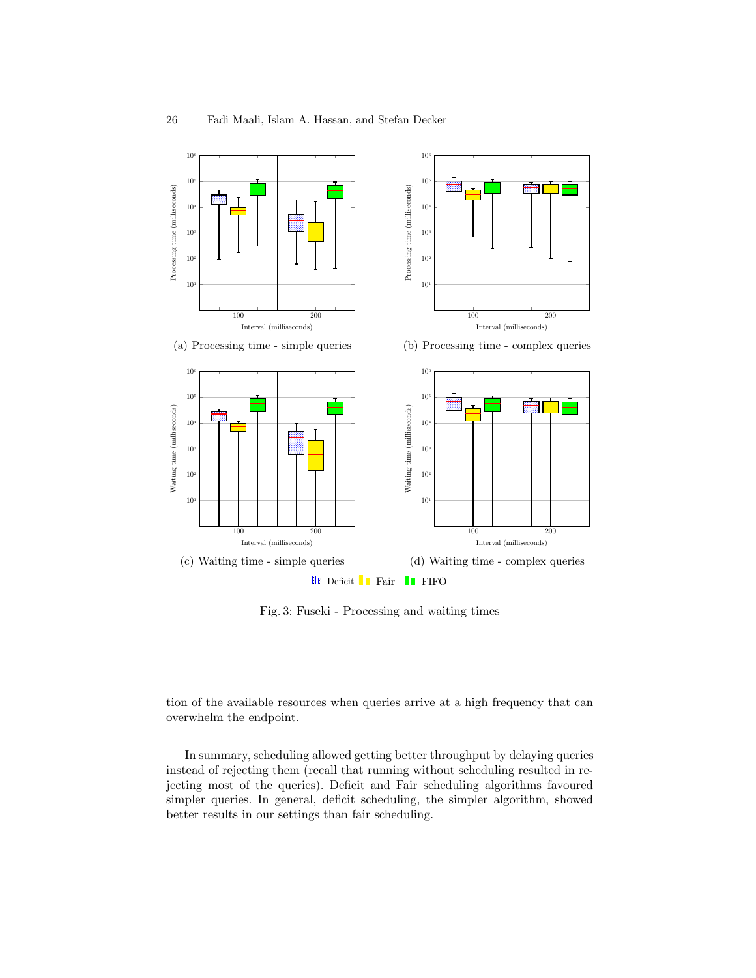

ig<br>
. Fig. 3: Fuseki - Processing and waiting times

 $\frac{1}{2}$ tion of the available resources when queries arrive at a high frequency that can overwhelm the endpoint.

In summary, scheduling allowed getting better throughput by delaying queries instead of rejecting them (recall that running without scheduling resulted in rejecting most of the queries). Deficit and Fair scheduling algorithms favoured simpler queries. In general, deficit scheduling, the simpler algorithm, showed better results in our settings than fair scheduling.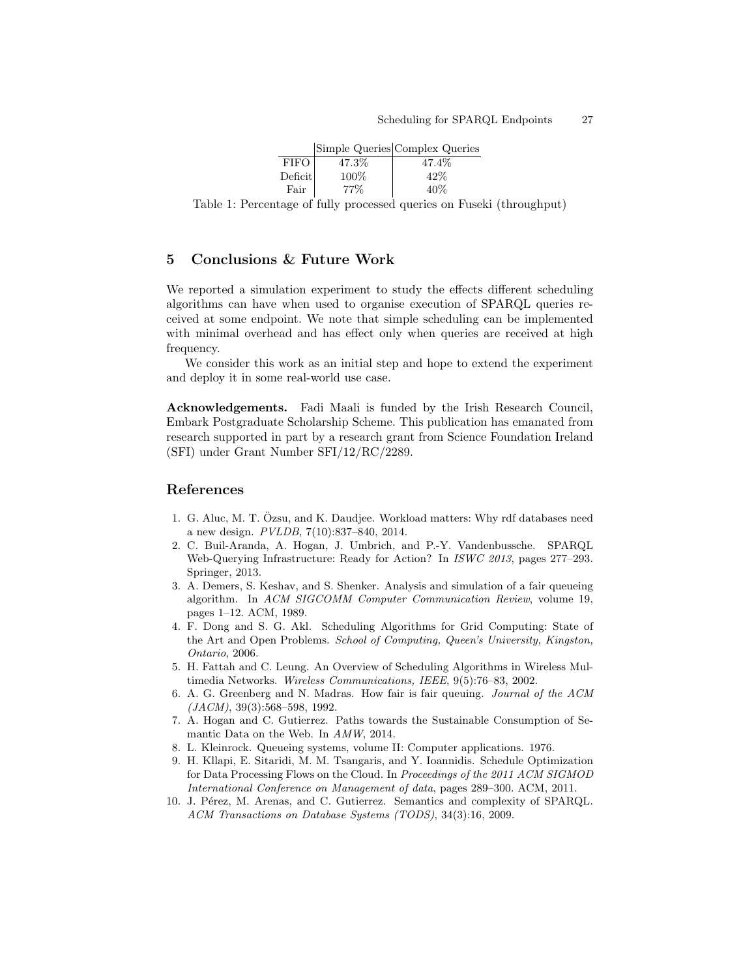|                    |       | Simple Queries Complex Queries |
|--------------------|-------|--------------------------------|
| <b>FIFO</b>        | 47.3% | 47.4%                          |
| $\mathrm{Deficit}$ | 100\% | 42%                            |
| Fair               | 77%   | $40\%$                         |

Table 1: Percentage of fully processed queries on Fuseki (throughput)

## 5 Conclusions & Future Work

We reported a simulation experiment to study the effects different scheduling algorithms can have when used to organise execution of SPARQL queries received at some endpoint. We note that simple scheduling can be implemented with minimal overhead and has effect only when queries are received at high frequency.

We consider this work as an initial step and hope to extend the experiment and deploy it in some real-world use case.

Acknowledgements. Fadi Maali is funded by the Irish Research Council, Embark Postgraduate Scholarship Scheme. This publication has emanated from research supported in part by a research grant from Science Foundation Ireland (SFI) under Grant Number SFI/12/RC/2289.

### References

- 1. G. Aluc, M. T. Ozsu, and K. Daudjee. Workload matters: Why rdf databases need ¨ a new design. PVLDB, 7(10):837–840, 2014.
- 2. C. Buil-Aranda, A. Hogan, J. Umbrich, and P.-Y. Vandenbussche. SPARQL Web-Querying Infrastructure: Ready for Action? In ISWC 2013, pages 277–293. Springer, 2013.
- 3. A. Demers, S. Keshav, and S. Shenker. Analysis and simulation of a fair queueing algorithm. In ACM SIGCOMM Computer Communication Review, volume 19, pages 1–12. ACM, 1989.
- 4. F. Dong and S. G. Akl. Scheduling Algorithms for Grid Computing: State of the Art and Open Problems. School of Computing, Queen's University, Kingston, Ontario, 2006.
- 5. H. Fattah and C. Leung. An Overview of Scheduling Algorithms in Wireless Multimedia Networks. Wireless Communications, IEEE, 9(5):76–83, 2002.
- 6. A. G. Greenberg and N. Madras. How fair is fair queuing. Journal of the ACM  $(JACM)$ , 39(3):568–598, 1992.
- 7. A. Hogan and C. Gutierrez. Paths towards the Sustainable Consumption of Semantic Data on the Web. In AMW, 2014.
- 8. L. Kleinrock. Queueing systems, volume II: Computer applications. 1976.
- 9. H. Kllapi, E. Sitaridi, M. M. Tsangaris, and Y. Ioannidis. Schedule Optimization for Data Processing Flows on the Cloud. In Proceedings of the 2011 ACM SIGMOD International Conference on Management of data, pages 289–300. ACM, 2011.
- 10. J. Pérez, M. Arenas, and C. Gutierrez. Semantics and complexity of SPARQL. ACM Transactions on Database Systems (TODS), 34(3):16, 2009.